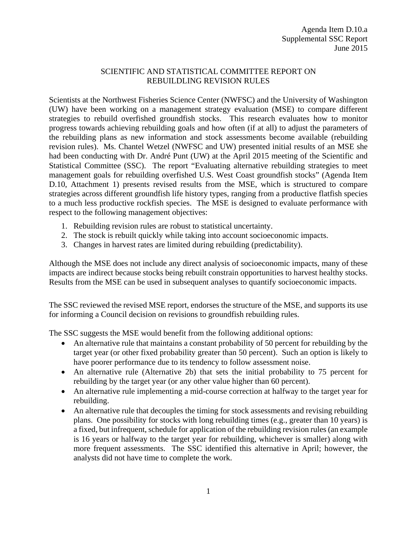## SCIENTIFIC AND STATISTICAL COMMITTEE REPORT ON REBUILDLING REVISION RULES

Scientists at the Northwest Fisheries Science Center (NWFSC) and the University of Washington (UW) have been working on a management strategy evaluation (MSE) to compare different strategies to rebuild overfished groundfish stocks. This research evaluates how to monitor progress towards achieving rebuilding goals and how often (if at all) to adjust the parameters of the rebuilding plans as new information and stock assessments become available (rebuilding revision rules). Ms. Chantel Wetzel (NWFSC and UW) presented initial results of an MSE she had been conducting with Dr. André Punt (UW) at the April 2015 meeting of the Scientific and Statistical Committee (SSC). The report "Evaluating alternative rebuilding strategies to meet management goals for rebuilding overfished U.S. West Coast groundfish stocks" (Agenda Item D.10, Attachment 1) presents revised results from the MSE, which is structured to compare strategies across different groundfish life history types, ranging from a productive flatfish species to a much less productive rockfish species. The MSE is designed to evaluate performance with respect to the following management objectives:

- 1. Rebuilding revision rules are robust to statistical uncertainty.
- 2. The stock is rebuilt quickly while taking into account socioeconomic impacts.
- 3. Changes in harvest rates are limited during rebuilding (predictability).

Although the MSE does not include any direct analysis of socioeconomic impacts, many of these impacts are indirect because stocks being rebuilt constrain opportunities to harvest healthy stocks. Results from the MSE can be used in subsequent analyses to quantify socioeconomic impacts.

The SSC reviewed the revised MSE report, endorses the structure of the MSE, and supports its use for informing a Council decision on revisions to groundfish rebuilding rules.

The SSC suggests the MSE would benefit from the following additional options:

- An alternative rule that maintains a constant probability of 50 percent for rebuilding by the target year (or other fixed probability greater than 50 percent). Such an option is likely to have poorer performance due to its tendency to follow assessment noise.
- An alternative rule (Alternative 2b) that sets the initial probability to 75 percent for rebuilding by the target year (or any other value higher than 60 percent).
- An alternative rule implementing a mid-course correction at halfway to the target year for rebuilding.
- An alternative rule that decouples the timing for stock assessments and revising rebuilding plans. One possibility for stocks with long rebuilding times (e.g., greater than 10 years) is a fixed, but infrequent, schedule for application of the rebuilding revision rules (an example is 16 years or halfway to the target year for rebuilding, whichever is smaller) along with more frequent assessments. The SSC identified this alternative in April; however, the analysts did not have time to complete the work.